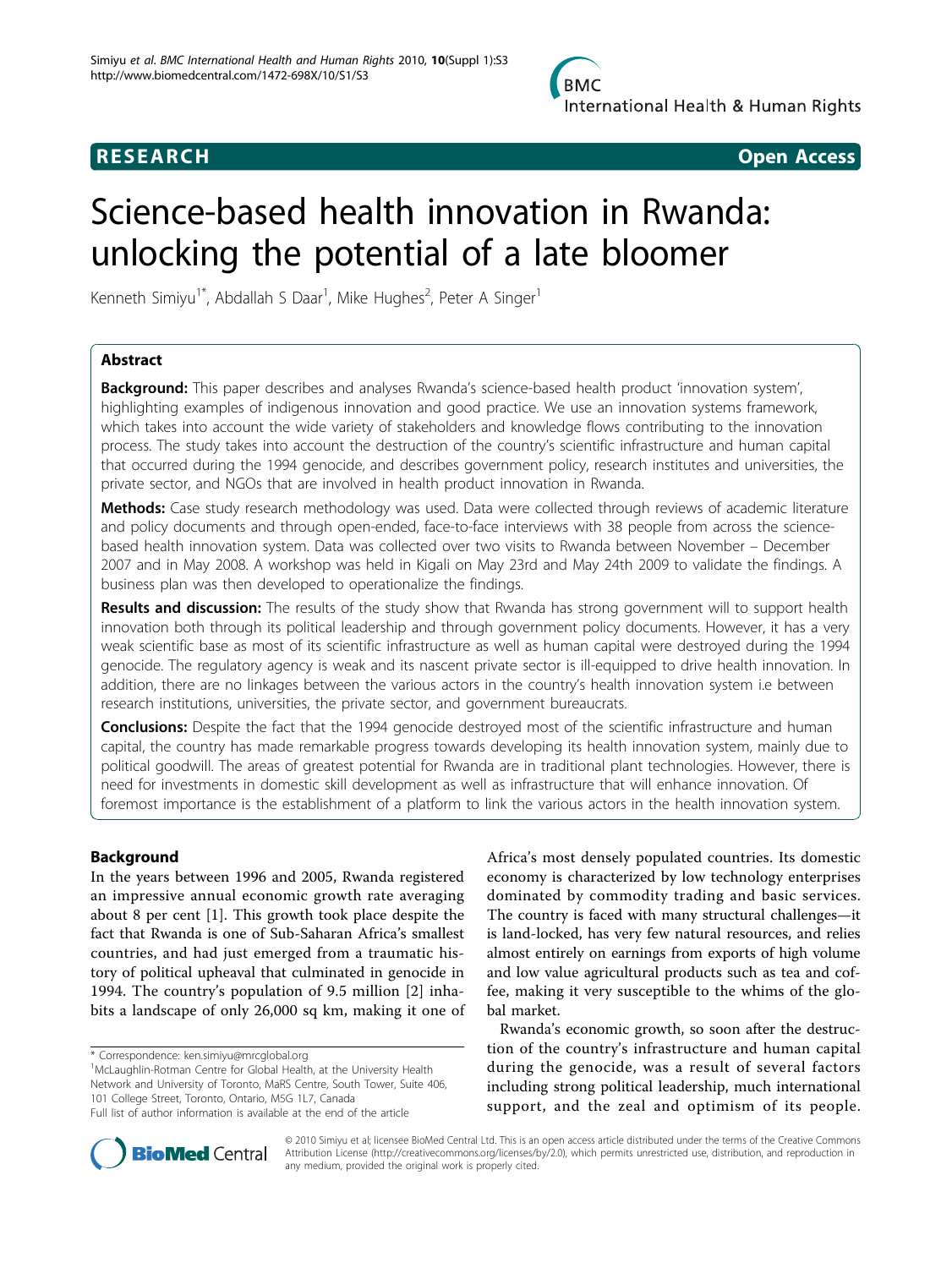

**RESEARCH CONSUMING ACCESS** 

# Science-based health innovation in Rwanda: unlocking the potential of a late bloomer

Kenneth Simiyu<sup>1\*</sup>, Abdallah S Daar<sup>1</sup>, Mike Hughes<sup>2</sup>, Peter A Singer<sup>1</sup>

# Abstract

**Background:** This paper describes and analyses Rwanda's science-based health product 'innovation system', highlighting examples of indigenous innovation and good practice. We use an innovation systems framework, which takes into account the wide variety of stakeholders and knowledge flows contributing to the innovation process. The study takes into account the destruction of the country's scientific infrastructure and human capital that occurred during the 1994 genocide, and describes government policy, research institutes and universities, the private sector, and NGOs that are involved in health product innovation in Rwanda.

Methods: Case study research methodology was used. Data were collected through reviews of academic literature and policy documents and through open-ended, face-to-face interviews with 38 people from across the sciencebased health innovation system. Data was collected over two visits to Rwanda between November – December 2007 and in May 2008. A workshop was held in Kigali on May 23rd and May 24th 2009 to validate the findings. A business plan was then developed to operationalize the findings.

Results and discussion: The results of the study show that Rwanda has strong government will to support health innovation both through its political leadership and through government policy documents. However, it has a very weak scientific base as most of its scientific infrastructure as well as human capital were destroyed during the 1994 genocide. The regulatory agency is weak and its nascent private sector is ill-equipped to drive health innovation. In addition, there are no linkages between the various actors in the country's health innovation system i.e between research institutions, universities, the private sector, and government bureaucrats.

Conclusions: Despite the fact that the 1994 genocide destroyed most of the scientific infrastructure and human capital, the country has made remarkable progress towards developing its health innovation system, mainly due to political goodwill. The areas of greatest potential for Rwanda are in traditional plant technologies. However, there is need for investments in domestic skill development as well as infrastructure that will enhance innovation. Of foremost importance is the establishment of a platform to link the various actors in the health innovation system.

# Background

In the years between 1996 and 2005, Rwanda registered an impressive annual economic growth rate averaging about 8 per cent [\[1\]](#page-9-0). This growth took place despite the fact that Rwanda is one of Sub-Saharan Africa's smallest countries, and had just emerged from a traumatic history of political upheaval that culminated in genocide in 1994. The country's population of 9.5 million [[2](#page-9-0)] inhabits a landscape of only 26,000 sq km, making it one of

\* Correspondence: [ken.simiyu@mrcglobal.org](mailto:ken.simiyu@mrcglobal.org)

Rwanda's economic growth, so soon after the destruction of the country's infrastructure and human capital during the genocide, was a result of several factors including strong political leadership, much international support, and the zeal and optimism of its people.



© 2010 Simiyu et al; licensee BioMed Central Ltd. This is an open access article distributed under the terms of the Creative Commons Attribution License [\(http://creativecommons.org/licenses/by/2.0](http://creativecommons.org/licenses/by/2.0)), which permits unrestricted use, distribution, and reproduction in any medium, provided the original work is properly cited.

<sup>&</sup>lt;sup>1</sup>McLaughlin-Rotman Centre for Global Health, at the University Health Network and University of Toronto, MaRS Centre, South Tower, Suite 406, 101 College Street, Toronto, Ontario, M5G 1L7, Canada Full list of author information is available at the end of the article

Africa's most densely populated countries. Its domestic economy is characterized by low technology enterprises dominated by commodity trading and basic services. The country is faced with many structural challenges—it is land-locked, has very few natural resources, and relies almost entirely on earnings from exports of high volume and low value agricultural products such as tea and coffee, making it very susceptible to the whims of the global market.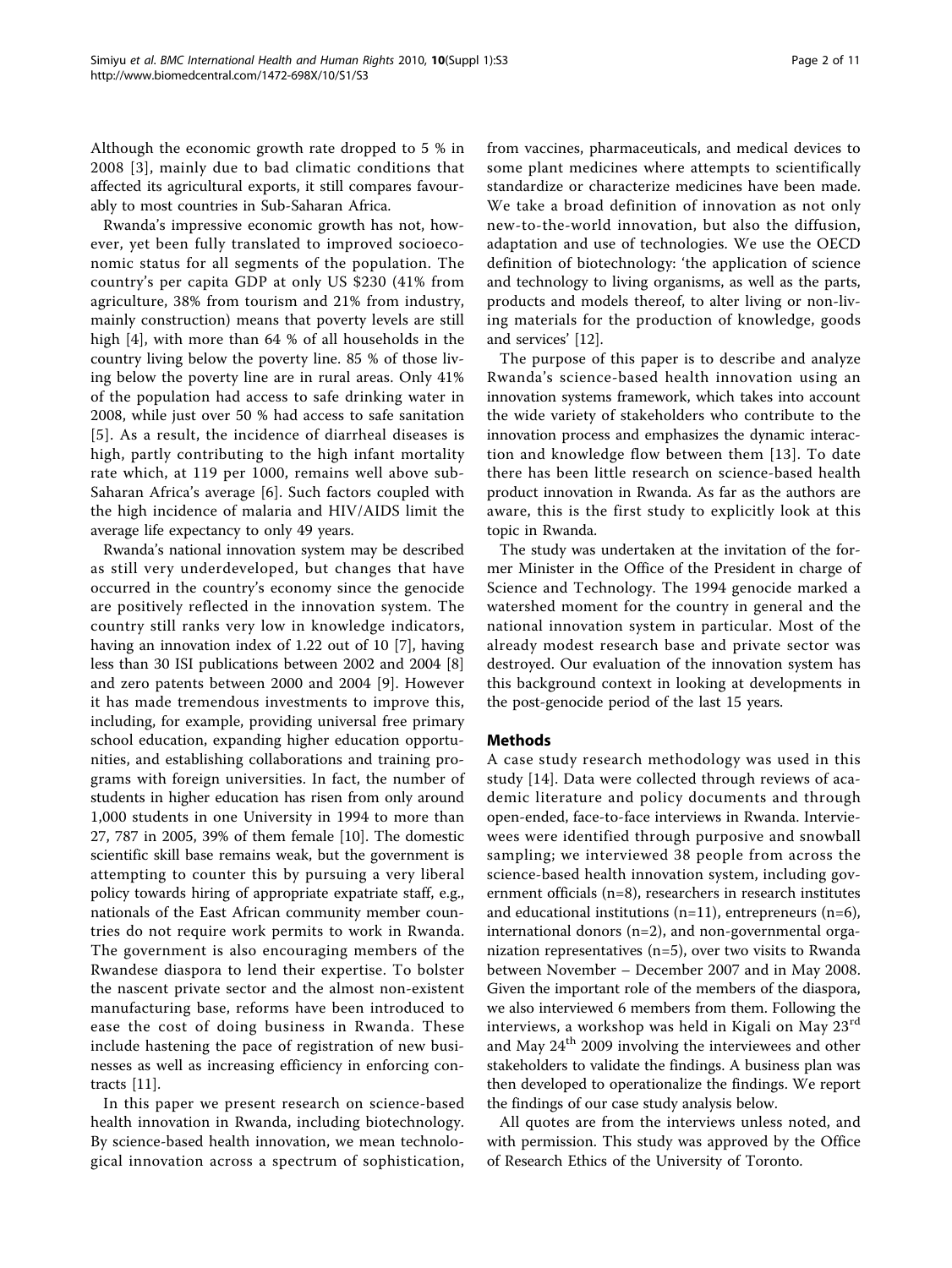Although the economic growth rate dropped to 5 % in 2008 [[3](#page-9-0)], mainly due to bad climatic conditions that affected its agricultural exports, it still compares favourably to most countries in Sub-Saharan Africa.

Rwanda's impressive economic growth has not, however, yet been fully translated to improved socioeconomic status for all segments of the population. The country's per capita GDP at only US \$230 (41% from agriculture, 38% from tourism and 21% from industry, mainly construction) means that poverty levels are still high [[4\]](#page-9-0), with more than 64 % of all households in the country living below the poverty line. 85 % of those living below the poverty line are in rural areas. Only 41% of the population had access to safe drinking water in 2008, while just over 50 % had access to safe sanitation [[5](#page-10-0)]. As a result, the incidence of diarrheal diseases is high, partly contributing to the high infant mortality rate which, at 119 per 1000, remains well above sub-Saharan Africa's average [\[6](#page-10-0)]. Such factors coupled with the high incidence of malaria and HIV/AIDS limit the average life expectancy to only 49 years.

Rwanda's national innovation system may be described as still very underdeveloped, but changes that have occurred in the country's economy since the genocide are positively reflected in the innovation system. The country still ranks very low in knowledge indicators, having an innovation index of 1.22 out of 10 [[7\]](#page-10-0), having less than 30 ISI publications between 2002 and 2004 [\[8](#page-10-0)] and zero patents between 2000 and 2004 [[9](#page-10-0)]. However it has made tremendous investments to improve this, including, for example, providing universal free primary school education, expanding higher education opportunities, and establishing collaborations and training programs with foreign universities. In fact, the number of students in higher education has risen from only around 1,000 students in one University in 1994 to more than 27, 787 in 2005, 39% of them female [[10](#page-10-0)]. The domestic scientific skill base remains weak, but the government is attempting to counter this by pursuing a very liberal policy towards hiring of appropriate expatriate staff, e.g., nationals of the East African community member countries do not require work permits to work in Rwanda. The government is also encouraging members of the Rwandese diaspora to lend their expertise. To bolster the nascent private sector and the almost non-existent manufacturing base, reforms have been introduced to ease the cost of doing business in Rwanda. These include hastening the pace of registration of new businesses as well as increasing efficiency in enforcing contracts [[11](#page-10-0)].

In this paper we present research on science-based health innovation in Rwanda, including biotechnology. By science-based health innovation, we mean technological innovation across a spectrum of sophistication, from vaccines, pharmaceuticals, and medical devices to some plant medicines where attempts to scientifically standardize or characterize medicines have been made. We take a broad definition of innovation as not only new-to-the-world innovation, but also the diffusion, adaptation and use of technologies. We use the OECD definition of biotechnology: 'the application of science and technology to living organisms, as well as the parts, products and models thereof, to alter living or non-living materials for the production of knowledge, goods and services' [[12](#page-10-0)].

The purpose of this paper is to describe and analyze Rwanda's science-based health innovation using an innovation systems framework, which takes into account the wide variety of stakeholders who contribute to the innovation process and emphasizes the dynamic interaction and knowledge flow between them [[13](#page-10-0)]. To date there has been little research on science-based health product innovation in Rwanda. As far as the authors are aware, this is the first study to explicitly look at this topic in Rwanda.

The study was undertaken at the invitation of the former Minister in the Office of the President in charge of Science and Technology. The 1994 genocide marked a watershed moment for the country in general and the national innovation system in particular. Most of the already modest research base and private sector was destroyed. Our evaluation of the innovation system has this background context in looking at developments in the post-genocide period of the last 15 years.

# Methods

A case study research methodology was used in this study [[14\]](#page-10-0). Data were collected through reviews of academic literature and policy documents and through open-ended, face-to-face interviews in Rwanda. Interviewees were identified through purposive and snowball sampling; we interviewed 38 people from across the science-based health innovation system, including government officials (n=8), researchers in research institutes and educational institutions  $(n=11)$ , entrepreneurs  $(n=6)$ , international donors (n=2), and non-governmental organization representatives (n=5), over two visits to Rwanda between November – December 2007 and in May 2008. Given the important role of the members of the diaspora, we also interviewed 6 members from them. Following the interviews, a workshop was held in Kigali on May 23rd and May 24<sup>th</sup> 2009 involving the interviewees and other stakeholders to validate the findings. A business plan was then developed to operationalize the findings. We report the findings of our case study analysis below.

All quotes are from the interviews unless noted, and with permission. This study was approved by the Office of Research Ethics of the University of Toronto.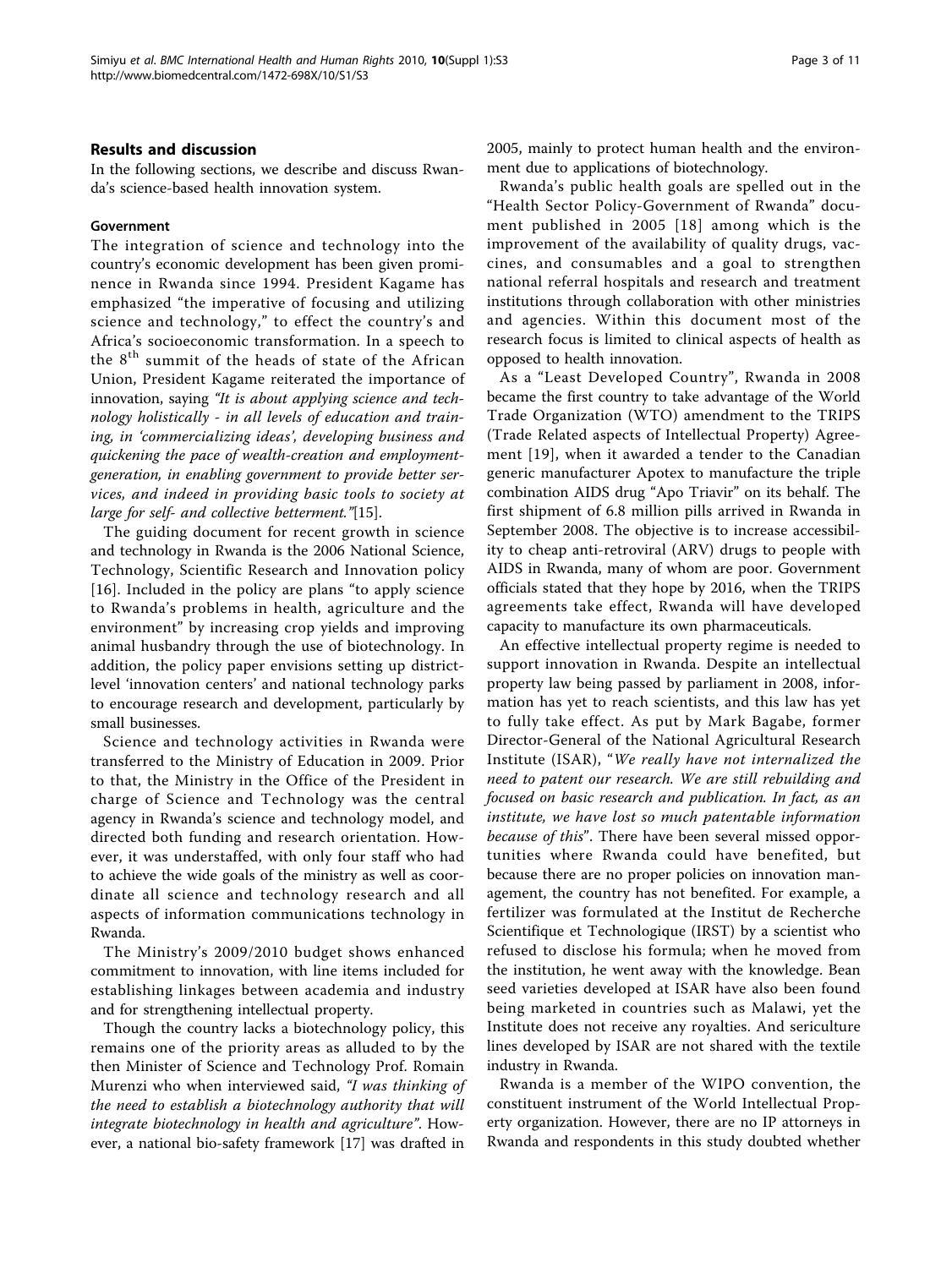#### Results and discussion

In the following sections, we describe and discuss Rwanda's science-based health innovation system.

#### Government

The integration of science and technology into the country's economic development has been given prominence in Rwanda since 1994. President Kagame has emphasized "the imperative of focusing and utilizing science and technology," to effect the country's and Africa's socioeconomic transformation. In a speech to the 8<sup>th</sup> summit of the heads of state of the African Union, President Kagame reiterated the importance of innovation, saying "It is about applying science and technology holistically - in all levels of education and training, in 'commercializing ideas', developing business and quickening the pace of wealth-creation and employmentgeneration, in enabling government to provide better services, and indeed in providing basic tools to society at large for self- and collective betterment."[\[15\]](#page-10-0).

The guiding document for recent growth in science and technology in Rwanda is the 2006 National Science, Technology, Scientific Research and Innovation policy [[16](#page-10-0)]. Included in the policy are plans "to apply science to Rwanda's problems in health, agriculture and the environment" by increasing crop yields and improving animal husbandry through the use of biotechnology. In addition, the policy paper envisions setting up districtlevel 'innovation centers' and national technology parks to encourage research and development, particularly by small businesses.

Science and technology activities in Rwanda were transferred to the Ministry of Education in 2009. Prior to that, the Ministry in the Office of the President in charge of Science and Technology was the central agency in Rwanda's science and technology model, and directed both funding and research orientation. However, it was understaffed, with only four staff who had to achieve the wide goals of the ministry as well as coordinate all science and technology research and all aspects of information communications technology in Rwanda.

The Ministry's 2009/2010 budget shows enhanced commitment to innovation, with line items included for establishing linkages between academia and industry and for strengthening intellectual property.

Though the country lacks a biotechnology policy, this remains one of the priority areas as alluded to by the then Minister of Science and Technology Prof. Romain Murenzi who when interviewed said, "I was thinking of the need to establish a biotechnology authority that will integrate biotechnology in health and agriculture". However, a national bio-safety framework [[17\]](#page-10-0) was drafted in

2005, mainly to protect human health and the environment due to applications of biotechnology.

Rwanda's public health goals are spelled out in the "Health Sector Policy-Government of Rwanda" document published in 2005 [[18\]](#page-10-0) among which is the improvement of the availability of quality drugs, vaccines, and consumables and a goal to strengthen national referral hospitals and research and treatment institutions through collaboration with other ministries and agencies. Within this document most of the research focus is limited to clinical aspects of health as opposed to health innovation.

As a "Least Developed Country", Rwanda in 2008 became the first country to take advantage of the World Trade Organization (WTO) amendment to the TRIPS (Trade Related aspects of Intellectual Property) Agreement [[19](#page-10-0)], when it awarded a tender to the Canadian generic manufacturer Apotex to manufacture the triple combination AIDS drug "Apo Triavir" on its behalf. The first shipment of 6.8 million pills arrived in Rwanda in September 2008. The objective is to increase accessibility to cheap anti-retroviral (ARV) drugs to people with AIDS in Rwanda, many of whom are poor. Government officials stated that they hope by 2016, when the TRIPS agreements take effect, Rwanda will have developed capacity to manufacture its own pharmaceuticals.

An effective intellectual property regime is needed to support innovation in Rwanda. Despite an intellectual property law being passed by parliament in 2008, information has yet to reach scientists, and this law has yet to fully take effect. As put by Mark Bagabe, former Director-General of the National Agricultural Research Institute (ISAR), "We really have not internalized the need to patent our research. We are still rebuilding and focused on basic research and publication. In fact, as an institute, we have lost so much patentable information because of this". There have been several missed opportunities where Rwanda could have benefited, but because there are no proper policies on innovation management, the country has not benefited. For example, a fertilizer was formulated at the Institut de Recherche Scientifique et Technologique (IRST) by a scientist who refused to disclose his formula; when he moved from the institution, he went away with the knowledge. Bean seed varieties developed at ISAR have also been found being marketed in countries such as Malawi, yet the Institute does not receive any royalties. And sericulture lines developed by ISAR are not shared with the textile industry in Rwanda.

Rwanda is a member of the WIPO convention, the constituent instrument of the World Intellectual Property organization. However, there are no IP attorneys in Rwanda and respondents in this study doubted whether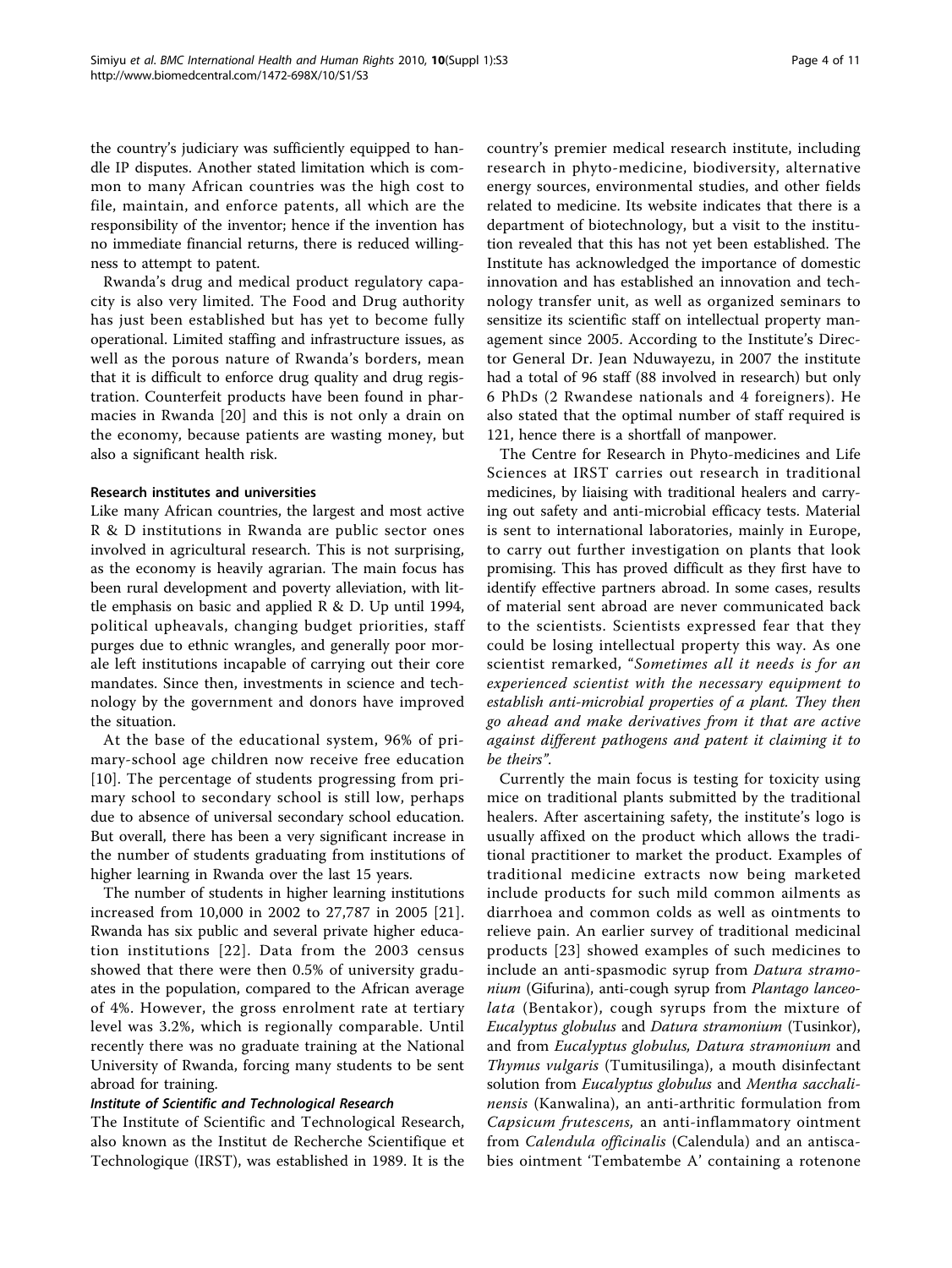the country's judiciary was sufficiently equipped to handle IP disputes. Another stated limitation which is common to many African countries was the high cost to file, maintain, and enforce patents, all which are the responsibility of the inventor; hence if the invention has no immediate financial returns, there is reduced willingness to attempt to patent.

Rwanda's drug and medical product regulatory capacity is also very limited. The Food and Drug authority has just been established but has yet to become fully operational. Limited staffing and infrastructure issues, as well as the porous nature of Rwanda's borders, mean that it is difficult to enforce drug quality and drug registration. Counterfeit products have been found in pharmacies in Rwanda [[20](#page-10-0)] and this is not only a drain on the economy, because patients are wasting money, but also a significant health risk.

# Research institutes and universities

Like many African countries, the largest and most active R & D institutions in Rwanda are public sector ones involved in agricultural research. This is not surprising, as the economy is heavily agrarian. The main focus has been rural development and poverty alleviation, with little emphasis on basic and applied R & D. Up until 1994, political upheavals, changing budget priorities, staff purges due to ethnic wrangles, and generally poor morale left institutions incapable of carrying out their core mandates. Since then, investments in science and technology by the government and donors have improved the situation.

At the base of the educational system, 96% of primary-school age children now receive free education [[10](#page-10-0)]. The percentage of students progressing from primary school to secondary school is still low, perhaps due to absence of universal secondary school education. But overall, there has been a very significant increase in the number of students graduating from institutions of higher learning in Rwanda over the last 15 years.

The number of students in higher learning institutions increased from 10,000 in 2002 to 27,787 in 2005 [[21](#page-10-0)]. Rwanda has six public and several private higher education institutions [[22](#page-10-0)]. Data from the 2003 census showed that there were then 0.5% of university graduates in the population, compared to the African average of 4%. However, the gross enrolment rate at tertiary level was 3.2%, which is regionally comparable. Until recently there was no graduate training at the National University of Rwanda, forcing many students to be sent abroad for training.

## Institute of Scientific and Technological Research

The Institute of Scientific and Technological Research, also known as the Institut de Recherche Scientifique et Technologique (IRST), was established in 1989. It is the country's premier medical research institute, including research in phyto-medicine, biodiversity, alternative energy sources, environmental studies, and other fields related to medicine. Its website indicates that there is a department of biotechnology, but a visit to the institution revealed that this has not yet been established. The Institute has acknowledged the importance of domestic innovation and has established an innovation and technology transfer unit, as well as organized seminars to sensitize its scientific staff on intellectual property management since 2005. According to the Institute's Director General Dr. Jean Nduwayezu, in 2007 the institute had a total of 96 staff (88 involved in research) but only 6 PhDs (2 Rwandese nationals and 4 foreigners). He also stated that the optimal number of staff required is 121, hence there is a shortfall of manpower.

The Centre for Research in Phyto-medicines and Life Sciences at IRST carries out research in traditional medicines, by liaising with traditional healers and carrying out safety and anti-microbial efficacy tests. Material is sent to international laboratories, mainly in Europe, to carry out further investigation on plants that look promising. This has proved difficult as they first have to identify effective partners abroad. In some cases, results of material sent abroad are never communicated back to the scientists. Scientists expressed fear that they could be losing intellectual property this way. As one scientist remarked, "Sometimes all it needs is for an experienced scientist with the necessary equipment to establish anti-microbial properties of a plant. They then go ahead and make derivatives from it that are active against different pathogens and patent it claiming it to be theirs".

Currently the main focus is testing for toxicity using mice on traditional plants submitted by the traditional healers. After ascertaining safety, the institute's logo is usually affixed on the product which allows the traditional practitioner to market the product. Examples of traditional medicine extracts now being marketed include products for such mild common ailments as diarrhoea and common colds as well as ointments to relieve pain. An earlier survey of traditional medicinal products [[23](#page-10-0)] showed examples of such medicines to include an anti-spasmodic syrup from Datura stramonium (Gifurina), anti-cough syrup from Plantago lanceo*lata* (Bentakor), cough syrups from the mixture of Eucalyptus globulus and Datura stramonium (Tusinkor), and from Eucalyptus globulus, Datura stramonium and Thymus vulgaris (Tumitusilinga), a mouth disinfectant solution from Eucalyptus globulus and Mentha sacchalinensis (Kanwalina), an anti-arthritic formulation from Capsicum frutescens, an anti-inflammatory ointment from Calendula officinalis (Calendula) and an antiscabies ointment 'Tembatembe A' containing a rotenone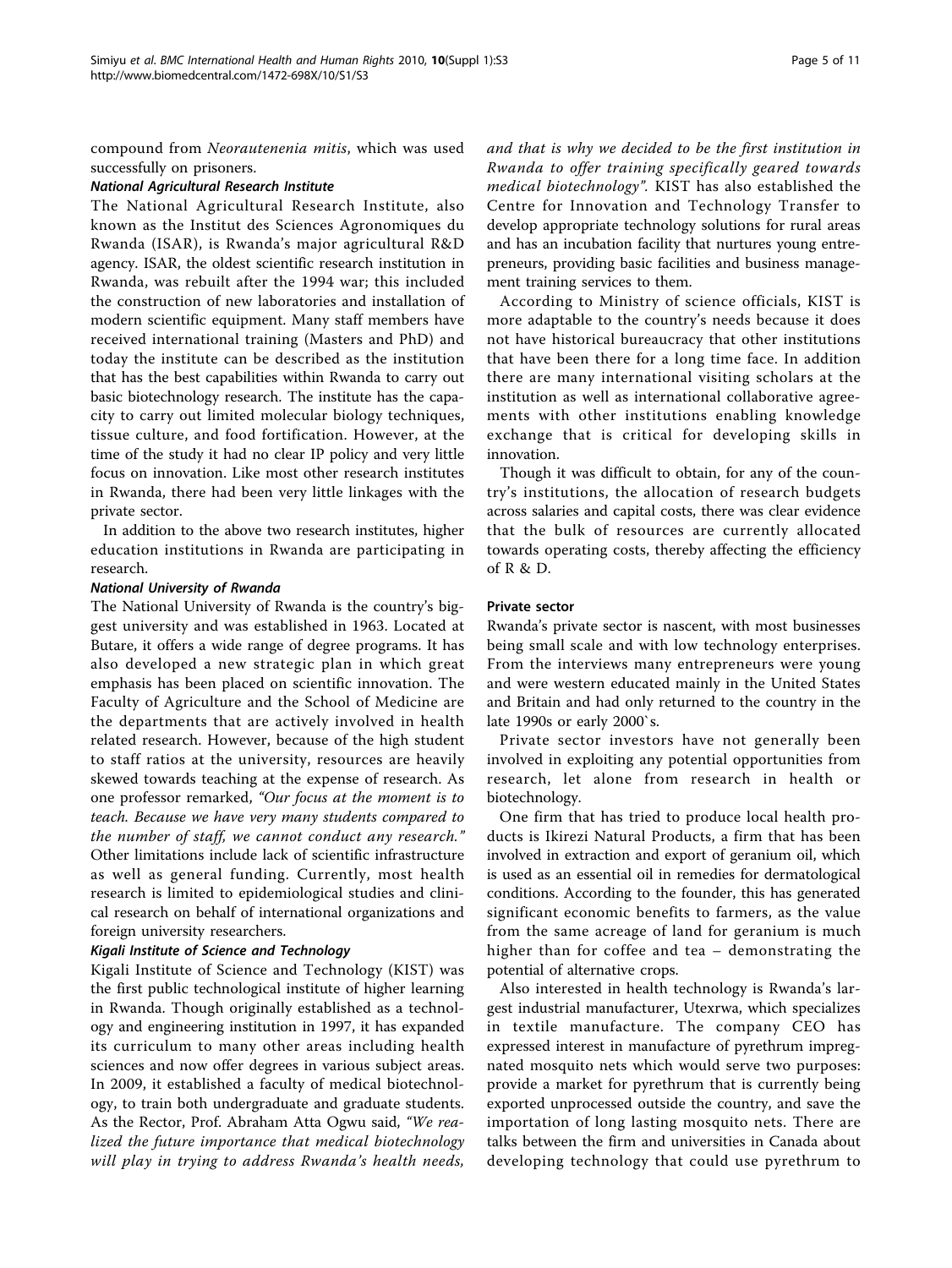compound from Neorautenenia mitis, which was used successfully on prisoners.

## National Agricultural Research Institute

The National Agricultural Research Institute, also known as the Institut des Sciences Agronomiques du Rwanda (ISAR), is Rwanda's major agricultural R&D agency. ISAR, the oldest scientific research institution in Rwanda, was rebuilt after the 1994 war; this included the construction of new laboratories and installation of modern scientific equipment. Many staff members have received international training (Masters and PhD) and today the institute can be described as the institution that has the best capabilities within Rwanda to carry out basic biotechnology research. The institute has the capacity to carry out limited molecular biology techniques, tissue culture, and food fortification. However, at the time of the study it had no clear IP policy and very little focus on innovation. Like most other research institutes in Rwanda, there had been very little linkages with the private sector.

In addition to the above two research institutes, higher education institutions in Rwanda are participating in research.

#### National University of Rwanda

The National University of Rwanda is the country's biggest university and was established in 1963. Located at Butare, it offers a wide range of degree programs. It has also developed a new strategic plan in which great emphasis has been placed on scientific innovation. The Faculty of Agriculture and the School of Medicine are the departments that are actively involved in health related research. However, because of the high student to staff ratios at the university, resources are heavily skewed towards teaching at the expense of research. As one professor remarked, "Our focus at the moment is to teach. Because we have very many students compared to the number of staff, we cannot conduct any research." Other limitations include lack of scientific infrastructure as well as general funding. Currently, most health research is limited to epidemiological studies and clinical research on behalf of international organizations and foreign university researchers.

#### Kigali Institute of Science and Technology

Kigali Institute of Science and Technology (KIST) was the first public technological institute of higher learning in Rwanda. Though originally established as a technology and engineering institution in 1997, it has expanded its curriculum to many other areas including health sciences and now offer degrees in various subject areas. In 2009, it established a faculty of medical biotechnology, to train both undergraduate and graduate students. As the Rector, Prof. Abraham Atta Ogwu said, "We realized the future importance that medical biotechnology will play in trying to address Rwanda's health needs,

and that is why we decided to be the first institution in Rwanda to offer training specifically geared towards medical biotechnology". KIST has also established the Centre for Innovation and Technology Transfer to develop appropriate technology solutions for rural areas and has an incubation facility that nurtures young entrepreneurs, providing basic facilities and business management training services to them.

According to Ministry of science officials, KIST is more adaptable to the country's needs because it does not have historical bureaucracy that other institutions that have been there for a long time face. In addition there are many international visiting scholars at the institution as well as international collaborative agreements with other institutions enabling knowledge exchange that is critical for developing skills in innovation.

Though it was difficult to obtain, for any of the country's institutions, the allocation of research budgets across salaries and capital costs, there was clear evidence that the bulk of resources are currently allocated towards operating costs, thereby affecting the efficiency of R  $\&$  D.

#### Private sector

Rwanda's private sector is nascent, with most businesses being small scale and with low technology enterprises. From the interviews many entrepreneurs were young and were western educated mainly in the United States and Britain and had only returned to the country in the late 1990s or early 2000`s.

Private sector investors have not generally been involved in exploiting any potential opportunities from research, let alone from research in health or biotechnology.

One firm that has tried to produce local health products is Ikirezi Natural Products, a firm that has been involved in extraction and export of geranium oil, which is used as an essential oil in remedies for dermatological conditions. According to the founder, this has generated significant economic benefits to farmers, as the value from the same acreage of land for geranium is much higher than for coffee and tea – demonstrating the potential of alternative crops.

Also interested in health technology is Rwanda's largest industrial manufacturer, Utexrwa, which specializes in textile manufacture. The company CEO has expressed interest in manufacture of pyrethrum impregnated mosquito nets which would serve two purposes: provide a market for pyrethrum that is currently being exported unprocessed outside the country, and save the importation of long lasting mosquito nets. There are talks between the firm and universities in Canada about developing technology that could use pyrethrum to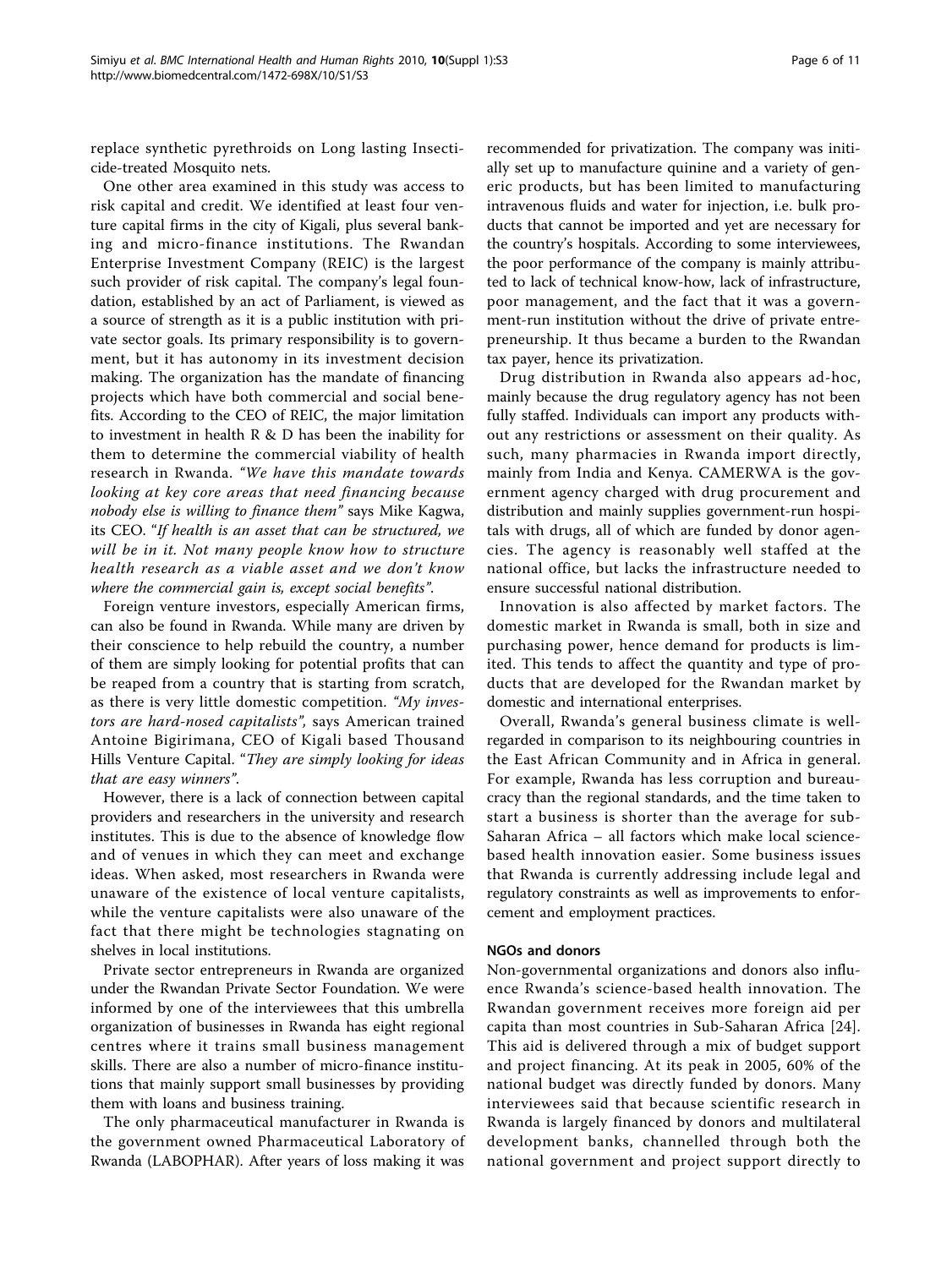replace synthetic pyrethroids on Long lasting Insecticide-treated Mosquito nets.

One other area examined in this study was access to risk capital and credit. We identified at least four venture capital firms in the city of Kigali, plus several banking and micro-finance institutions. The Rwandan Enterprise Investment Company (REIC) is the largest such provider of risk capital. The company's legal foundation, established by an act of Parliament, is viewed as a source of strength as it is a public institution with private sector goals. Its primary responsibility is to government, but it has autonomy in its investment decision making. The organization has the mandate of financing projects which have both commercial and social benefits. According to the CEO of REIC, the major limitation to investment in health R & D has been the inability for them to determine the commercial viability of health research in Rwanda. "We have this mandate towards looking at key core areas that need financing because nobody else is willing to finance them" says Mike Kagwa, its CEO. "If health is an asset that can be structured, we will be in it. Not many people know how to structure health research as a viable asset and we don't know where the commercial gain is, except social benefits".

Foreign venture investors, especially American firms, can also be found in Rwanda. While many are driven by their conscience to help rebuild the country, a number of them are simply looking for potential profits that can be reaped from a country that is starting from scratch, as there is very little domestic competition. "My investors are hard-nosed capitalists", says American trained Antoine Bigirimana, CEO of Kigali based Thousand Hills Venture Capital. "They are simply looking for ideas that are easy winners".

However, there is a lack of connection between capital providers and researchers in the university and research institutes. This is due to the absence of knowledge flow and of venues in which they can meet and exchange ideas. When asked, most researchers in Rwanda were unaware of the existence of local venture capitalists, while the venture capitalists were also unaware of the fact that there might be technologies stagnating on shelves in local institutions.

Private sector entrepreneurs in Rwanda are organized under the Rwandan Private Sector Foundation. We were informed by one of the interviewees that this umbrella organization of businesses in Rwanda has eight regional centres where it trains small business management skills. There are also a number of micro-finance institutions that mainly support small businesses by providing them with loans and business training.

The only pharmaceutical manufacturer in Rwanda is the government owned Pharmaceutical Laboratory of Rwanda (LABOPHAR). After years of loss making it was recommended for privatization. The company was initially set up to manufacture quinine and a variety of generic products, but has been limited to manufacturing intravenous fluids and water for injection, i.e. bulk products that cannot be imported and yet are necessary for the country's hospitals. According to some interviewees, the poor performance of the company is mainly attributed to lack of technical know-how, lack of infrastructure, poor management, and the fact that it was a government-run institution without the drive of private entrepreneurship. It thus became a burden to the Rwandan tax payer, hence its privatization.

Drug distribution in Rwanda also appears ad-hoc, mainly because the drug regulatory agency has not been fully staffed. Individuals can import any products without any restrictions or assessment on their quality. As such, many pharmacies in Rwanda import directly, mainly from India and Kenya. CAMERWA is the government agency charged with drug procurement and distribution and mainly supplies government-run hospitals with drugs, all of which are funded by donor agencies. The agency is reasonably well staffed at the national office, but lacks the infrastructure needed to ensure successful national distribution.

Innovation is also affected by market factors. The domestic market in Rwanda is small, both in size and purchasing power, hence demand for products is limited. This tends to affect the quantity and type of products that are developed for the Rwandan market by domestic and international enterprises.

Overall, Rwanda's general business climate is wellregarded in comparison to its neighbouring countries in the East African Community and in Africa in general. For example, Rwanda has less corruption and bureaucracy than the regional standards, and the time taken to start a business is shorter than the average for sub-Saharan Africa – all factors which make local sciencebased health innovation easier. Some business issues that Rwanda is currently addressing include legal and regulatory constraints as well as improvements to enforcement and employment practices.

#### NGOs and donors

Non-governmental organizations and donors also influence Rwanda's science-based health innovation. The Rwandan government receives more foreign aid per capita than most countries in Sub-Saharan Africa [[24](#page-10-0)]. This aid is delivered through a mix of budget support and project financing. At its peak in 2005, 60% of the national budget was directly funded by donors. Many interviewees said that because scientific research in Rwanda is largely financed by donors and multilateral development banks, channelled through both the national government and project support directly to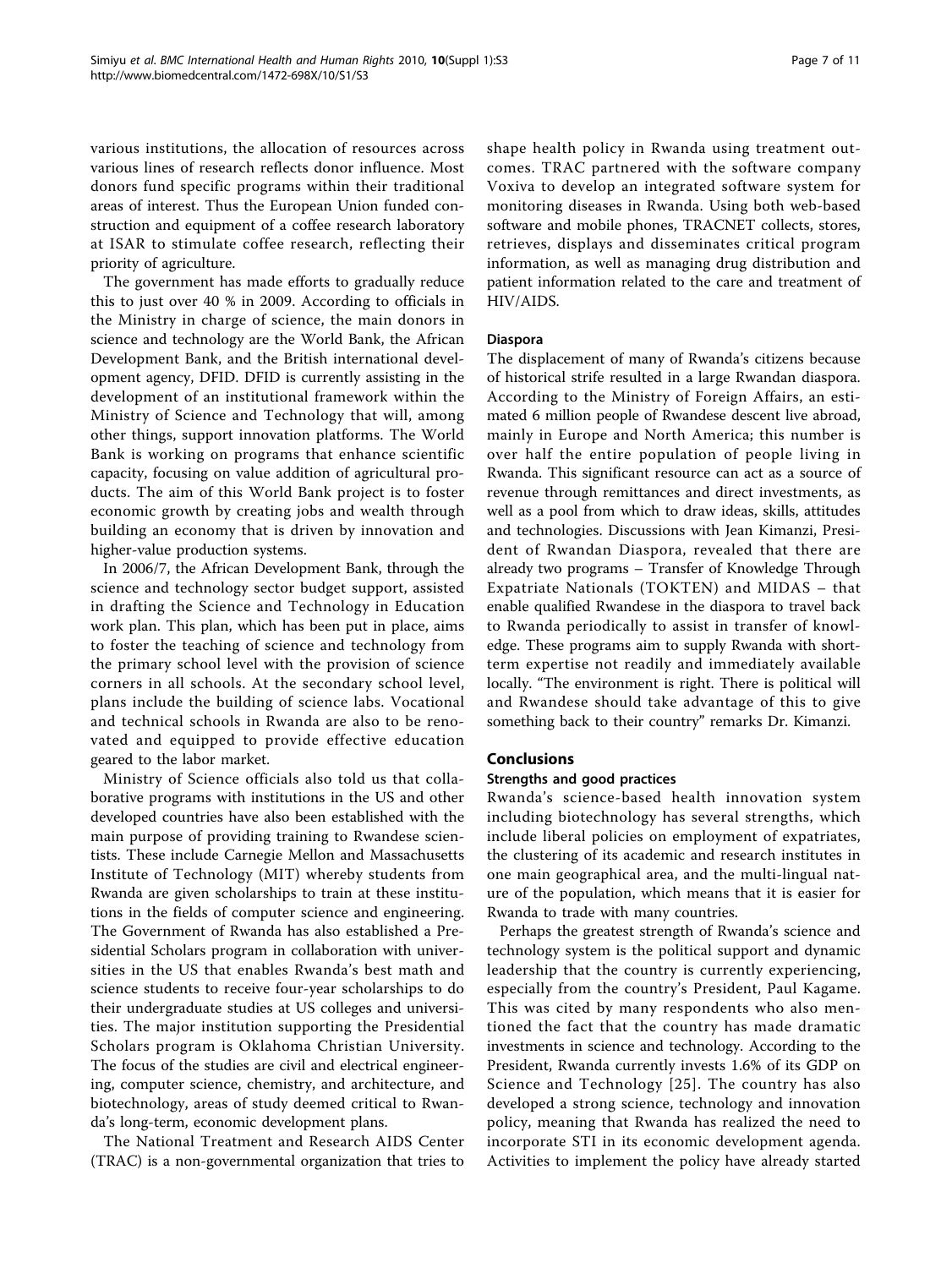various institutions, the allocation of resources across various lines of research reflects donor influence. Most donors fund specific programs within their traditional areas of interest. Thus the European Union funded construction and equipment of a coffee research laboratory at ISAR to stimulate coffee research, reflecting their priority of agriculture.

The government has made efforts to gradually reduce this to just over 40 % in 2009. According to officials in the Ministry in charge of science, the main donors in science and technology are the World Bank, the African Development Bank, and the British international development agency, DFID. DFID is currently assisting in the development of an institutional framework within the Ministry of Science and Technology that will, among other things, support innovation platforms. The World Bank is working on programs that enhance scientific capacity, focusing on value addition of agricultural products. The aim of this World Bank project is to foster economic growth by creating jobs and wealth through building an economy that is driven by innovation and higher-value production systems.

In 2006/7, the African Development Bank, through the science and technology sector budget support, assisted in drafting the Science and Technology in Education work plan. This plan, which has been put in place, aims to foster the teaching of science and technology from the primary school level with the provision of science corners in all schools. At the secondary school level, plans include the building of science labs. Vocational and technical schools in Rwanda are also to be renovated and equipped to provide effective education geared to the labor market.

Ministry of Science officials also told us that collaborative programs with institutions in the US and other developed countries have also been established with the main purpose of providing training to Rwandese scientists. These include Carnegie Mellon and Massachusetts Institute of Technology (MIT) whereby students from Rwanda are given scholarships to train at these institutions in the fields of computer science and engineering. The Government of Rwanda has also established a Presidential Scholars program in collaboration with universities in the US that enables Rwanda's best math and science students to receive four-year scholarships to do their undergraduate studies at US colleges and universities. The major institution supporting the Presidential Scholars program is Oklahoma Christian University. The focus of the studies are civil and electrical engineering, computer science, chemistry, and architecture, and biotechnology, areas of study deemed critical to Rwanda's long-term, economic development plans.

The National Treatment and Research AIDS Center (TRAC) is a non-governmental organization that tries to shape health policy in Rwanda using treatment outcomes. TRAC partnered with the software company Voxiva to develop an integrated software system for monitoring diseases in Rwanda. Using both web-based software and mobile phones, TRACNET collects, stores, retrieves, displays and disseminates critical program information, as well as managing drug distribution and patient information related to the care and treatment of HIV/AIDS.

#### Diaspora

The displacement of many of Rwanda's citizens because of historical strife resulted in a large Rwandan diaspora. According to the Ministry of Foreign Affairs, an estimated 6 million people of Rwandese descent live abroad, mainly in Europe and North America; this number is over half the entire population of people living in Rwanda. This significant resource can act as a source of revenue through remittances and direct investments, as well as a pool from which to draw ideas, skills, attitudes and technologies. Discussions with Jean Kimanzi, President of Rwandan Diaspora, revealed that there are already two programs – Transfer of Knowledge Through Expatriate Nationals (TOKTEN) and MIDAS – that enable qualified Rwandese in the diaspora to travel back to Rwanda periodically to assist in transfer of knowledge. These programs aim to supply Rwanda with shortterm expertise not readily and immediately available locally. "The environment is right. There is political will and Rwandese should take advantage of this to give something back to their country" remarks Dr. Kimanzi.

#### Conclusions

#### Strengths and good practices

Rwanda's science-based health innovation system including biotechnology has several strengths, which include liberal policies on employment of expatriates, the clustering of its academic and research institutes in one main geographical area, and the multi-lingual nature of the population, which means that it is easier for Rwanda to trade with many countries.

Perhaps the greatest strength of Rwanda's science and technology system is the political support and dynamic leadership that the country is currently experiencing, especially from the country's President, Paul Kagame. This was cited by many respondents who also mentioned the fact that the country has made dramatic investments in science and technology. According to the President, Rwanda currently invests 1.6% of its GDP on Science and Technology [[25\]](#page-10-0). The country has also developed a strong science, technology and innovation policy, meaning that Rwanda has realized the need to incorporate STI in its economic development agenda. Activities to implement the policy have already started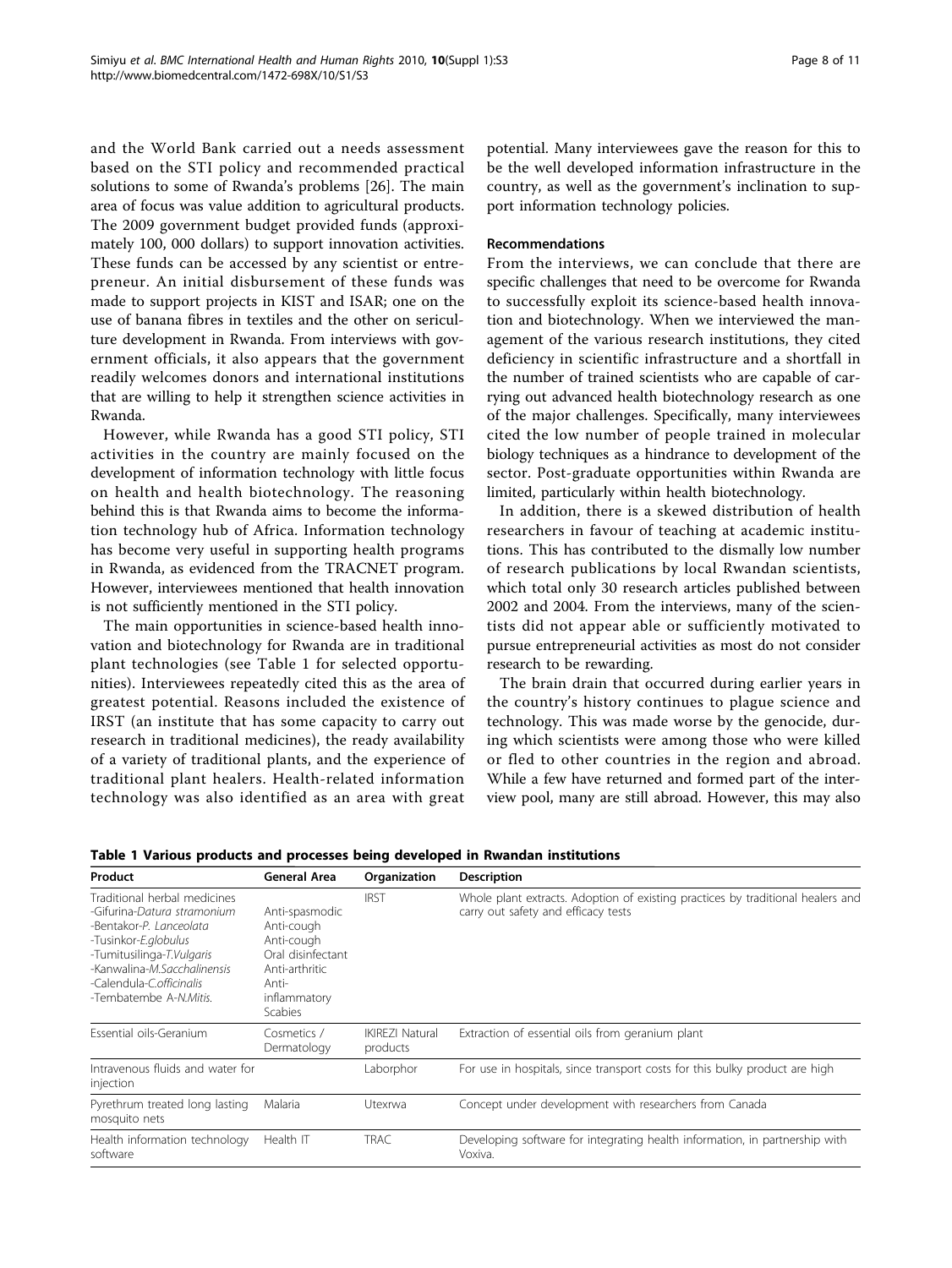and the World Bank carried out a needs assessment based on the STI policy and recommended practical solutions to some of Rwanda's problems [[26\]](#page-10-0). The main area of focus was value addition to agricultural products. The 2009 government budget provided funds (approximately 100, 000 dollars) to support innovation activities. These funds can be accessed by any scientist or entrepreneur. An initial disbursement of these funds was made to support projects in KIST and ISAR; one on the use of banana fibres in textiles and the other on sericulture development in Rwanda. From interviews with government officials, it also appears that the government readily welcomes donors and international institutions that are willing to help it strengthen science activities in Rwanda.

However, while Rwanda has a good STI policy, STI activities in the country are mainly focused on the development of information technology with little focus on health and health biotechnology. The reasoning behind this is that Rwanda aims to become the information technology hub of Africa. Information technology has become very useful in supporting health programs in Rwanda, as evidenced from the TRACNET program. However, interviewees mentioned that health innovation is not sufficiently mentioned in the STI policy.

The main opportunities in science-based health innovation and biotechnology for Rwanda are in traditional plant technologies (see Table 1 for selected opportunities). Interviewees repeatedly cited this as the area of greatest potential. Reasons included the existence of IRST (an institute that has some capacity to carry out research in traditional medicines), the ready availability of a variety of traditional plants, and the experience of traditional plant healers. Health-related information technology was also identified as an area with great

potential. Many interviewees gave the reason for this to be the well developed information infrastructure in the country, as well as the government's inclination to support information technology policies.

#### Recommendations

From the interviews, we can conclude that there are specific challenges that need to be overcome for Rwanda to successfully exploit its science-based health innovation and biotechnology. When we interviewed the management of the various research institutions, they cited deficiency in scientific infrastructure and a shortfall in the number of trained scientists who are capable of carrying out advanced health biotechnology research as one of the major challenges. Specifically, many interviewees cited the low number of people trained in molecular biology techniques as a hindrance to development of the sector. Post-graduate opportunities within Rwanda are limited, particularly within health biotechnology.

In addition, there is a skewed distribution of health researchers in favour of teaching at academic institutions. This has contributed to the dismally low number of research publications by local Rwandan scientists, which total only 30 research articles published between 2002 and 2004. From the interviews, many of the scientists did not appear able or sufficiently motivated to pursue entrepreneurial activities as most do not consider research to be rewarding.

The brain drain that occurred during earlier years in the country's history continues to plague science and technology. This was made worse by the genocide, during which scientists were among those who were killed or fled to other countries in the region and abroad. While a few have returned and formed part of the interview pool, many are still abroad. However, this may also

Table 1 Various products and processes being developed in Rwandan institutions

| Product                                                                                                                                                                                                                          | General Area                                                                                                                 | Organization                       | <b>Description</b>                                                                                                     |
|----------------------------------------------------------------------------------------------------------------------------------------------------------------------------------------------------------------------------------|------------------------------------------------------------------------------------------------------------------------------|------------------------------------|------------------------------------------------------------------------------------------------------------------------|
| Traditional herbal medicines<br>-Gifurina-Datura stramonium<br>-Bentakor-P. Lanceolata<br>-Tusinkor-E.globulus<br>-Tumitusilinga-T.Vulgaris<br>-Kanwalina-M.Sacchalinensis<br>-Calendula-C.officinalis<br>-Tembatembe A-N.Mitis. | Anti-spasmodic<br>Anti-cough<br>Anti-cough<br>Oral disinfectant<br>Anti-arthritic<br>Anti-<br>inflammatory<br><b>Scabies</b> | <b>IRST</b>                        | Whole plant extracts. Adoption of existing practices by traditional healers and<br>carry out safety and efficacy tests |
| Essential oils-Geranium                                                                                                                                                                                                          | Cosmetics /<br>Dermatology                                                                                                   | <b>IKIRF7I Natural</b><br>products | Extraction of essential oils from geranium plant                                                                       |
| Intravenous fluids and water for<br>injection                                                                                                                                                                                    |                                                                                                                              | Laborphor                          | For use in hospitals, since transport costs for this bulky product are high                                            |
| Pyrethrum treated long lasting<br>mosquito nets                                                                                                                                                                                  | Malaria                                                                                                                      | Utexrwa                            | Concept under development with researchers from Canada                                                                 |
| Health information technology<br>software                                                                                                                                                                                        | Health IT                                                                                                                    | <b>TRAC</b>                        | Developing software for integrating health information, in partnership with<br>Voxiva.                                 |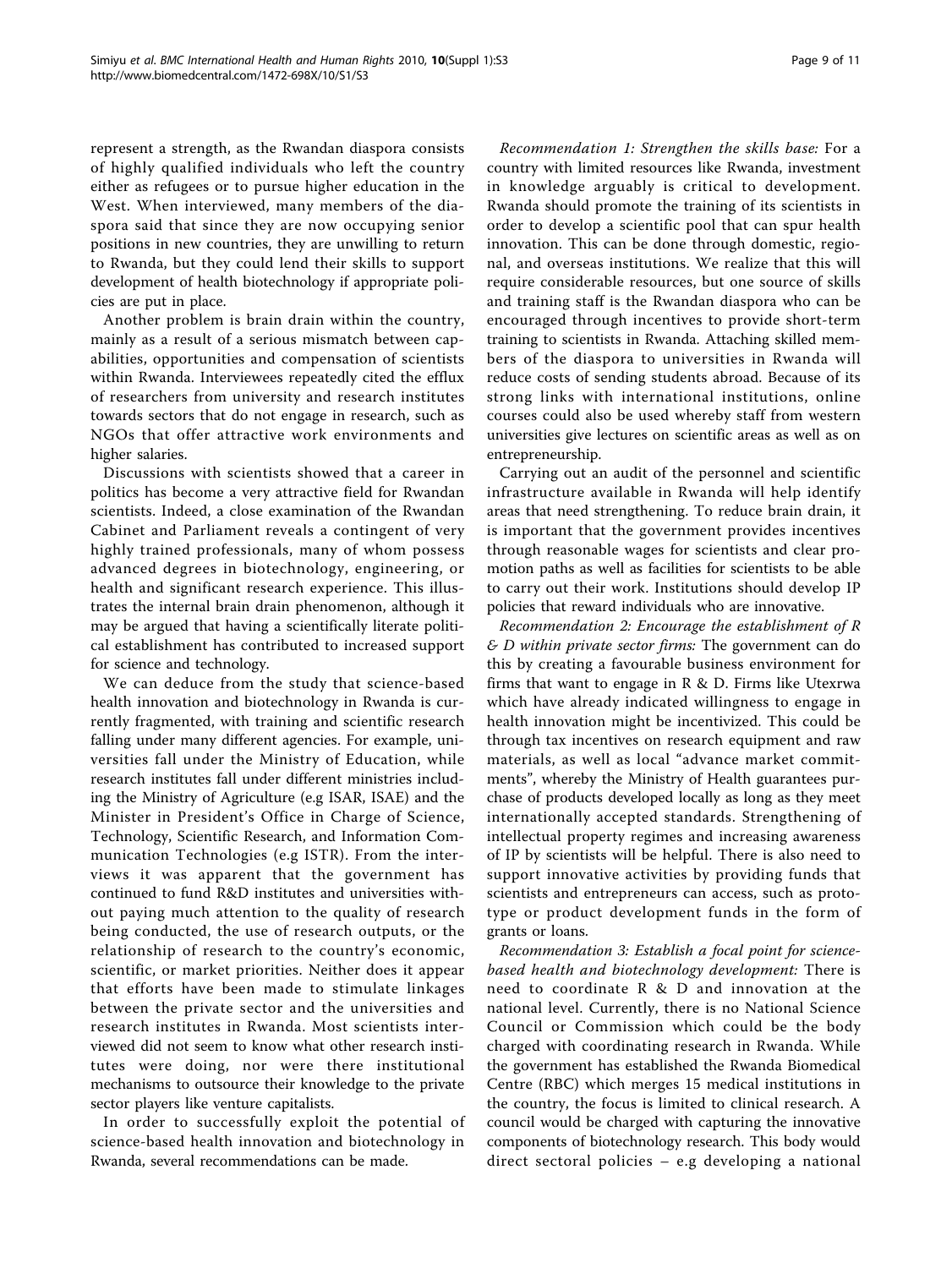represent a strength, as the Rwandan diaspora consists of highly qualified individuals who left the country either as refugees or to pursue higher education in the West. When interviewed, many members of the diaspora said that since they are now occupying senior positions in new countries, they are unwilling to return to Rwanda, but they could lend their skills to support development of health biotechnology if appropriate policies are put in place.

Another problem is brain drain within the country, mainly as a result of a serious mismatch between capabilities, opportunities and compensation of scientists within Rwanda. Interviewees repeatedly cited the efflux of researchers from university and research institutes towards sectors that do not engage in research, such as NGOs that offer attractive work environments and higher salaries.

Discussions with scientists showed that a career in politics has become a very attractive field for Rwandan scientists. Indeed, a close examination of the Rwandan Cabinet and Parliament reveals a contingent of very highly trained professionals, many of whom possess advanced degrees in biotechnology, engineering, or health and significant research experience. This illustrates the internal brain drain phenomenon, although it may be argued that having a scientifically literate political establishment has contributed to increased support for science and technology.

We can deduce from the study that science-based health innovation and biotechnology in Rwanda is currently fragmented, with training and scientific research falling under many different agencies. For example, universities fall under the Ministry of Education, while research institutes fall under different ministries including the Ministry of Agriculture (e.g ISAR, ISAE) and the Minister in President's Office in Charge of Science, Technology, Scientific Research, and Information Communication Technologies (e.g ISTR). From the interviews it was apparent that the government has continued to fund R&D institutes and universities without paying much attention to the quality of research being conducted, the use of research outputs, or the relationship of research to the country's economic, scientific, or market priorities. Neither does it appear that efforts have been made to stimulate linkages between the private sector and the universities and research institutes in Rwanda. Most scientists interviewed did not seem to know what other research institutes were doing, nor were there institutional mechanisms to outsource their knowledge to the private sector players like venture capitalists.

In order to successfully exploit the potential of science-based health innovation and biotechnology in Rwanda, several recommendations can be made.

Recommendation 1: Strengthen the skills base: For a country with limited resources like Rwanda, investment in knowledge arguably is critical to development. Rwanda should promote the training of its scientists in order to develop a scientific pool that can spur health innovation. This can be done through domestic, regional, and overseas institutions. We realize that this will require considerable resources, but one source of skills and training staff is the Rwandan diaspora who can be encouraged through incentives to provide short-term training to scientists in Rwanda. Attaching skilled members of the diaspora to universities in Rwanda will reduce costs of sending students abroad. Because of its strong links with international institutions, online courses could also be used whereby staff from western universities give lectures on scientific areas as well as on entrepreneurship.

Carrying out an audit of the personnel and scientific infrastructure available in Rwanda will help identify areas that need strengthening. To reduce brain drain, it is important that the government provides incentives through reasonable wages for scientists and clear promotion paths as well as facilities for scientists to be able to carry out their work. Institutions should develop IP policies that reward individuals who are innovative.

Recommendation 2: Encourage the establishment of R  $\& D$  within private sector firms: The government can do this by creating a favourable business environment for firms that want to engage in R & D. Firms like Utexrwa which have already indicated willingness to engage in health innovation might be incentivized. This could be through tax incentives on research equipment and raw materials, as well as local "advance market commitments", whereby the Ministry of Health guarantees purchase of products developed locally as long as they meet internationally accepted standards. Strengthening of intellectual property regimes and increasing awareness of IP by scientists will be helpful. There is also need to support innovative activities by providing funds that scientists and entrepreneurs can access, such as prototype or product development funds in the form of grants or loans.

Recommendation 3: Establish a focal point for sciencebased health and biotechnology development: There is need to coordinate R & D and innovation at the national level. Currently, there is no National Science Council or Commission which could be the body charged with coordinating research in Rwanda. While the government has established the Rwanda Biomedical Centre (RBC) which merges 15 medical institutions in the country, the focus is limited to clinical research. A council would be charged with capturing the innovative components of biotechnology research. This body would direct sectoral policies – e.g developing a national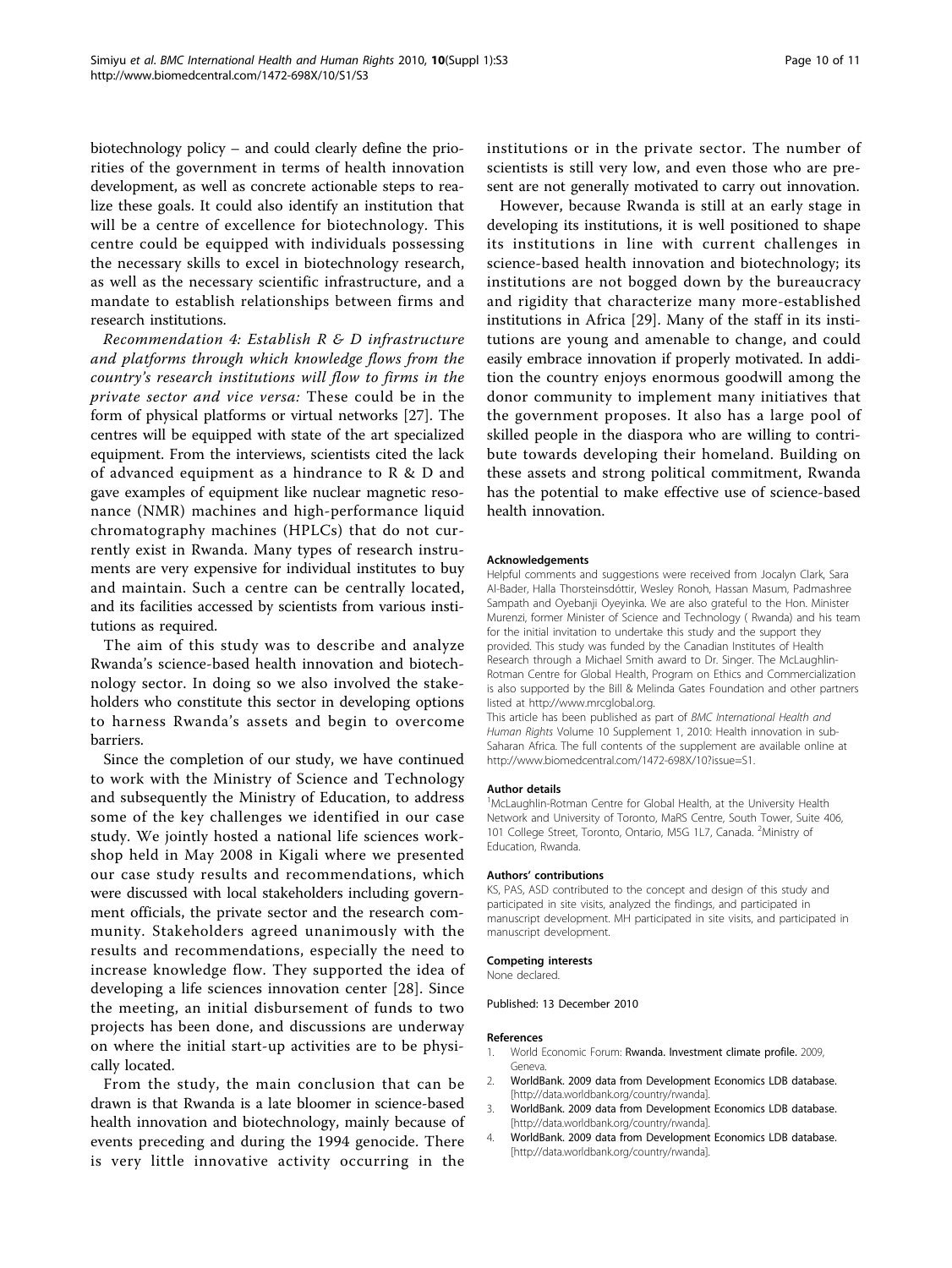<span id="page-9-0"></span>biotechnology policy – and could clearly define the priorities of the government in terms of health innovation development, as well as concrete actionable steps to realize these goals. It could also identify an institution that will be a centre of excellence for biotechnology. This centre could be equipped with individuals possessing the necessary skills to excel in biotechnology research, as well as the necessary scientific infrastructure, and a mandate to establish relationships between firms and research institutions.

Recommendation 4: Establish R & D infrastructure and platforms through which knowledge flows from the country's research institutions will flow to firms in the private sector and vice versa: These could be in the form of physical platforms or virtual networks [[27\]](#page-10-0). The centres will be equipped with state of the art specialized equipment. From the interviews, scientists cited the lack of advanced equipment as a hindrance to R & D and gave examples of equipment like nuclear magnetic resonance (NMR) machines and high-performance liquid chromatography machines (HPLCs) that do not currently exist in Rwanda. Many types of research instruments are very expensive for individual institutes to buy and maintain. Such a centre can be centrally located, and its facilities accessed by scientists from various institutions as required.

The aim of this study was to describe and analyze Rwanda's science-based health innovation and biotechnology sector. In doing so we also involved the stakeholders who constitute this sector in developing options to harness Rwanda's assets and begin to overcome barriers.

Since the completion of our study, we have continued to work with the Ministry of Science and Technology and subsequently the Ministry of Education, to address some of the key challenges we identified in our case study. We jointly hosted a national life sciences workshop held in May 2008 in Kigali where we presented our case study results and recommendations, which were discussed with local stakeholders including government officials, the private sector and the research community. Stakeholders agreed unanimously with the results and recommendations, especially the need to increase knowledge flow. They supported the idea of developing a life sciences innovation center [[28](#page-10-0)]. Since the meeting, an initial disbursement of funds to two projects has been done, and discussions are underway on where the initial start-up activities are to be physically located.

From the study, the main conclusion that can be drawn is that Rwanda is a late bloomer in science-based health innovation and biotechnology, mainly because of events preceding and during the 1994 genocide. There is very little innovative activity occurring in the institutions or in the private sector. The number of scientists is still very low, and even those who are present are not generally motivated to carry out innovation.

However, because Rwanda is still at an early stage in developing its institutions, it is well positioned to shape its institutions in line with current challenges in science-based health innovation and biotechnology; its institutions are not bogged down by the bureaucracy and rigidity that characterize many more-established institutions in Africa [\[29](#page-10-0)]. Many of the staff in its institutions are young and amenable to change, and could easily embrace innovation if properly motivated. In addition the country enjoys enormous goodwill among the donor community to implement many initiatives that the government proposes. It also has a large pool of skilled people in the diaspora who are willing to contribute towards developing their homeland. Building on these assets and strong political commitment, Rwanda has the potential to make effective use of science-based health innovation.

#### Acknowledgements

Helpful comments and suggestions were received from Jocalyn Clark, Sara Al-Bader, Halla Thorsteinsdóttir, Wesley Ronoh, Hassan Masum, Padmashree Sampath and Oyebanji Oyeyinka. We are also grateful to the Hon. Minister Murenzi, former Minister of Science and Technology ( Rwanda) and his team for the initial invitation to undertake this study and the support they provided. This study was funded by the Canadian Institutes of Health Research through a Michael Smith award to Dr. Singer. The McLaughlin-Rotman Centre for Global Health, Program on Ethics and Commercialization is also supported by the Bill & Melinda Gates Foundation and other partners listed at [http://www.mrcglobal.org.](http://www.mrcglobal.org)

This article has been published as part of BMC International Health and Human Rights Volume 10 Supplement 1, 2010: Health innovation in sub-Saharan Africa. The full contents of the supplement are available online at <http://www.biomedcentral.com/1472-698X/10?issue=S1>.

#### Author details

<sup>1</sup>McLaughlin-Rotman Centre for Global Health, at the University Health Network and University of Toronto, MaRS Centre, South Tower, Suite 406, 101 College Street, Toronto, Ontario, M5G 1L7, Canada. <sup>2</sup>Ministry of Education, Rwanda.

#### Authors' contributions

KS, PAS, ASD contributed to the concept and design of this study and participated in site visits, analyzed the findings, and participated in manuscript development. MH participated in site visits, and participated in manuscript development.

Competing interests

None declared.

Published: 13 December 2010

#### References

- 1. World Economic Forum: Rwanda. Investment climate profile. 2009, Geneva.
- 2. WorldBank. 2009 data from Development Economics LDB database. [[http://data.worldbank.org/country/rwanda\]](http://data.worldbank.org/country/rwanda).
- 3. WorldBank. 2009 data from Development Economics LDB database. [[http://data.worldbank.org/country/rwanda\]](http://data.worldbank.org/country/rwanda).
- 4. WorldBank. 2009 data from Development Economics LDB database. [[http://data.worldbank.org/country/rwanda\]](http://data.worldbank.org/country/rwanda).